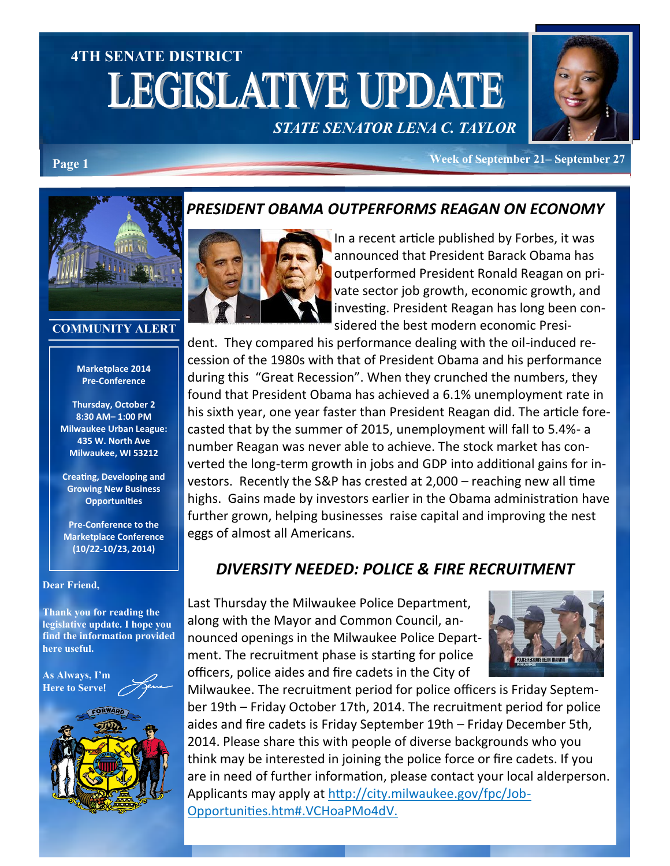# **4TH SENATE DISTRICT LEGISLATIVE UPDATE**



*STATE SENATOR LENA C. TAYLOR*

**Week of September 21– September 27 Page 1**



#### **COMMUNITY ALERT**

#### **Marketplace 2014 Pre-Conference**

**Thursday, October 2 8:30 AM– 1:00 PM Milwaukee Urban League: 435 W. North Ave Milwaukee, WI 53212**

**Creating, Developing and Growing New Business Opportunities**

**Pre-Conference to the Marketplace Conference (10/22-10/23, 2014)**

#### **Dear Friend,**

**Thank you for reading the legislative update. I hope you find the information provided here useful.**

**As Always, I'm Here to Serve**!



## *PRESIDENT OBAMA OUTPERFORMS REAGAN ON ECONOMY*



In a recent article published by Forbes, it was announced that President Barack Obama has outperformed President Ronald Reagan on private sector job growth, economic growth, and investing. President Reagan has long been considered the best modern economic Presi-

dent. They compared his performance dealing with the oil-induced recession of the 1980s with that of President Obama and his performance during this "Great Recession". When they crunched the numbers, they found that President Obama has achieved a 6.1% unemployment rate in his sixth year, one year faster than President Reagan did. The article forecasted that by the summer of 2015, unemployment will fall to 5.4%- a number Reagan was never able to achieve. The stock market has converted the long-term growth in jobs and GDP into additional gains for investors. Recently the S&P has crested at 2,000 – reaching new all time highs. Gains made by investors earlier in the Obama administration have further grown, helping businesses raise capital and improving the nest eggs of almost all Americans.

# *DIVERSITY NEEDED: POLICE & FIRE RECRUITMENT*

Last Thursday the Milwaukee Police Department, along with the Mayor and Common Council, announced openings in the Milwaukee Police Department. The recruitment phase is starting for police officers, police aides and fire cadets in the City of



Milwaukee. The recruitment period for police officers is Friday September 19th – Friday October 17th, 2014. The recruitment period for police aides and fire cadets is Friday September 19th – Friday December 5th, 2014. Please share this with people of diverse backgrounds who you think may be interested in joining the police force or fire cadets. If you are in need of further information, please contact your local alderperson. Applicants may apply at http://city.milwaukee.gov/fpc/Job-Opportunities.htm#.VCHoaPMo4dV.